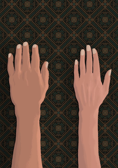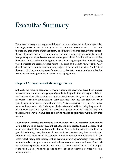## Executive Summary

The uneven recovery from the pandemic has left countries in South Asia with multiple policy challenges, which are exacerbated by the impact of the war in Ukraine. While several countries are navigating rising inflation and growing difficulties to finance fiscal deficits and trade deficits, the region must also chart a new way forward to address rising inequality, unleash new growth potential, and accommodate an energy transition. To reshape their economies, the region cannot avoid redesigning tax systems, increasing competition, and challenging vested interests and existing gender norms. This issue of the *South Asia Economic Focus* describes recent economic developments, analyzes the economic impact on South Asia of the war in Ukraine, presents growth forecasts, provides risk scenarios, and concludes that reshaping economies goes hand in hand with reshaping norms.

## **Chapter 1. Stronger headwinds during recovery**

**Although the region's economy is growing again, the recoveries have been uneven across sectors, countries, and groups of people.** While production and exports of digital services have risen, other sectors like construction, transportation, and tourism have not fully recovered in most countries. While some countries experience a solid rebound in GDP growth, Afghanistan faces a humanitarian crisis, Pakistan a political crisis, and Sri Lanka a balance-of-payments crisis. While high-skilled workers retained jobs during the pandemic, or found new opportunities, only some unskilled migrant workers have returned to jobs in the cities. Moreover, men have been able to find new job opportunities more quickly than women.

**South Asian economies are emerging from the deep COVID-19 recession, burdened by high inflation, rising current account deficits, and deteriorated fiscal balances, which are exacerbated by the impact of war in Ukraine.** Even as the impact of the pandemic on growth is subsiding, partly because of increases in vaccination rates, the economic scars left behind after two years of the pandemic are deep. Inflation and deficits in trade balances reflect supply bottlenecks, pent-up demand, and rising commodity prices in international markets. Support measures and reduced revenues have deteriorated fiscal balances. All these problems have become more pressing because of the immediate impact of the war in Ukraine, which has pushed up prices of oil and other commodities in international markets.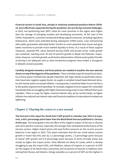**Financial sectors in South Asia, already in relatively weakened positions before COVID-19, were effectively supported during the pandemic, but are facing renewed challenges.**  In 2019, non-performing loan (NPL) ratios for most countries in the region were higher than the average of emerging markets and developing economies. At the start of the COVID-19 pandemic, countries introduced lending support measures, including regulatory forbearance, which were extended during subsequent COVID waves. Loan restructuring with public guarantees alleviated banks' burden to cover potential loan losses and gave banks incentives to provide much-needed liquidity to firms. As a result of these support measures, reported NPL ratios declined during COVID and private sector credit growth was sustained, reaching even 30 and 20 percent growth in Nepal and Pakistan, respectively. However, such fast growth could lead to deterioration of bank asset quality if lender screening is not adequate and, as most moratorium programs have ended, a resurgence in defaults remains possible.

**Carefully designed monetary and fiscal policies are needed to weather the new external shocks on top of the legacies of the pandemic.** There is limited scope for broad fiscal stimulus as fiscal space is limited and, equally important, the major shocks to South Asian economies have been negative supply shocks. As supply is curtailed, broad-based demand stimulus will merely lead to increased inflation. Consequently, it would be better to turn the focus to the quality of government spending. For example, targeted income support for vulnerable households that are struggling with higher food and energy costs is more efficient than price subsidies. There is scope for higher nominal interest rates set by central banks, as higher inflation has reduced real interest rates and financial conditions in international markets are tightening.

## **Chapter 2. Charting the course to a new normal**

**The forecast in this report for South Asia's GDP growth in calendar year 2022 is 6.6 percent, a full 1 percentage point lower than the World Bank forecast published in January of this year.** This downgrade is the net effect of the negative impact of the war in Ukraine and some positive surprises, especially the stronger than anticipated performance of the services sectors. Higher import prices will exert further pressure on the current account balances in the region in 2022. This report estimates that the war could reduce income growth in South Asia this year by 2.2 percentage points, 1.3 percentage point because of slower GDP growth and 0.9 percentage point because of terms-of-trade losses due mostly to higher fuel import prices. Most affected are likely Sri Lanka, which is already struggling to pay the import bills, and Maldives, whose oil imports as a percent of GDP are the largest of all South Asian economies and 20 percent of tourists in Maldives were coming from Russia and Ukraine. Energy subsidies as a percent of GDP are the highest in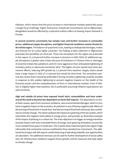Pakistan, which means that the price increase in international markets potentially poses a tough fiscal challenge. Higher food prices complicate humanitarian aid to Afghanistan. Bangladesh would be affected by a potential indirect effect of slowing import demand in Europe.

**In several countries uncertainty has steeply risen and further increases in commodity prices, additional supply disruptions, and tighter financial conditions remain threats for the whole region.** The balance-of-payments crisis, leading to widespread shortages, makes any forecast for Sri Lanka highly uncertain. The halting of data collection in Afghanistan precludes the possibility of a forecast. Three risk simulations for the region are presented in this report: (i) a 24 percent further increase in oil prices in 2022-2024; (ii) additional supply disruptions in global value chains because of lockdowns in Chinese cities or shortages of essential metals like palladium; and (iii) more aggressive than anticipated tightening of monetary policy in advanced economies (AEs). The higher oil price would have more permanent effects, reducing GDP growth by 1.2 percent from baseline. Supply chains would have a large impact in 2022 of 1.5 percent but would be short-lived. The simulation exercise also shows that it would be preferable if strong monetary tightening could be avoided in response to AEs sudden tightening to prevent negative impacts on the health of the financial sectors and the competitiveness of firms in international markets. Even if inflation is slightly higher than baseline, this is preferable assuming inflation expectations are well-anchored.

**High and volatile oil prices have exposed South Asia's vulnerabilities and have underscored the need to become less dependent on fossil-fuel imports.** The dependence on fossil fuels causes, apart from economic problems, also environmental damages, which in turn have a negative impact on the economy. Air pollution is one of the key negative side-effects of the burning of fossil fuels in South Asia. And the burning of fossil fuels obviously also contributes to climate change. The report analyzes the impact of a greening of the tax system, which internalizes the negative externalities in energy prices, and provides an illustrative example of the impact of phasing in a carbon tax. The main objective is to trigger an energy transition towards cleaner and more renewable forms of energy. Such greening of taxation can provide much needed fiscal space in South Asia. This is particularly important given the region's high informality that constraints revenue mobilization from standard tax instruments. The additional fiscal space will still require careful balancing of spending tradeoffs, but opportunities are abundant. The additional revenues can be used for further development of social safety nets, for infrastructure needed to support future growth, and for measures that help adapt to climate change.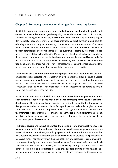## **Chapter 3. Reshaping social norms about gender: A new way forward**

**South Asia lags other regions, apart from Middle East and North Africa, in gender outcomes and in attitudes towards gender equality.** Female labor force participation in many countries of the region is among the lowest in the world, and other related forms of gender inequality (freedom of movement, social interactions, asset ownership, and parents' offspring preference) compare unfavorably to other countries at the same level of development. At the same time, South Asian gender attitudes tend to be more conservative than those in other regions and have become more so over time. Judging by responses to questions on gender attitudes from the World Values Survey, the share of individuals with traditional views in most countries has declined over the past few decades and is now under 50 percent. In the South Asian countries surveyed, however, most individuals still hold these traditional views and these majorities have increased. Women and the more educated tend to hold more progressive views than men and the less educated, respectively.

**Social norms are even more traditional than people's individual attitudes.** Social norms reflect individuals' expectations of what they think their reference group believes is acceptable or appropriate. New data used for this report measures for the first time both norms and attitudes. It finds that South Asian social expectations of gender roles tend to be more conservative than individuals' personal beliefs. Women expect their neighbors to be considerably more conservative than men do.

**Social norms and personal beliefs are important determinants of gender outcomes, such as female labor force participation, even after controlling for the level of economic development.** There is a significant, negative correlation between the level of conservative gender attitudes and women's labor force participation, likely reflecting bidirectional influences. Both social norms and personal beliefs are significantly related to cross-country differences in gender outcomes. Further, social norms are more important than personal beliefs in explaining differences in gender inequality that remain after the influence of economic development is accounted for.

**Traditional social norms about gender tend to persist, despite their negative impact on women's opportunities, the welfare of children, and overall economic growth.** Many norms are sustained despite their origins in long ago economic relationships and concerns that have become irrelevant with income growth and technological progress. The persistence of regressive gender norms may reflect their codification in law, pressures to conform, and the importance of family and communities in rural societies. Those practices include patrilocality (wives moving to husbands' families) and patrilineality (sons' rights to inherit). Regressive gender norms are also perpetuated because they support existing power relationships between men and women, such as control over assets and resources or decision-making